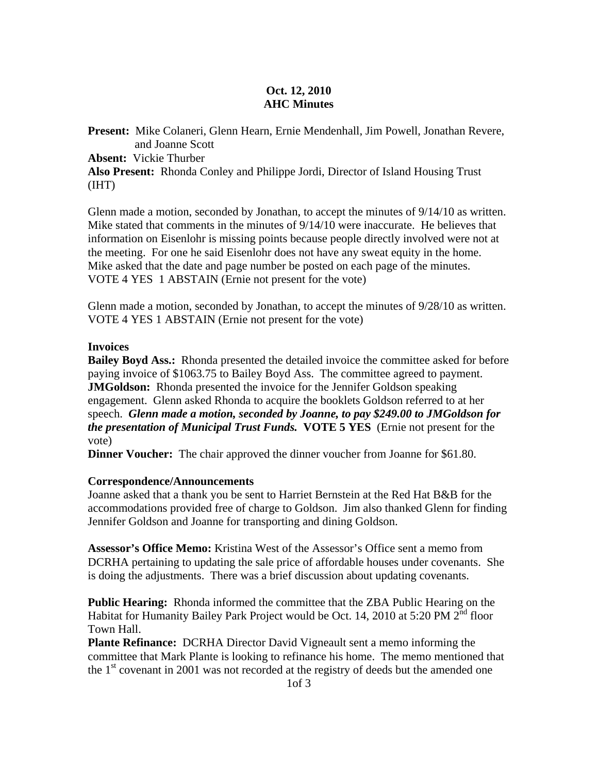## **Oct. 12, 2010 AHC Minutes**

**Present:** Mike Colaneri, Glenn Hearn, Ernie Mendenhall, Jim Powell, Jonathan Revere, and Joanne Scott **Absent:** Vickie Thurber **Also Present:** Rhonda Conley and Philippe Jordi, Director of Island Housing Trust (IHT)

Glenn made a motion, seconded by Jonathan, to accept the minutes of 9/14/10 as written. Mike stated that comments in the minutes of 9/14/10 were inaccurate. He believes that information on Eisenlohr is missing points because people directly involved were not at the meeting. For one he said Eisenlohr does not have any sweat equity in the home. Mike asked that the date and page number be posted on each page of the minutes. VOTE 4 YES 1 ABSTAIN (Ernie not present for the vote)

Glenn made a motion, seconded by Jonathan, to accept the minutes of 9/28/10 as written. VOTE 4 YES 1 ABSTAIN (Ernie not present for the vote)

### **Invoices**

**Bailey Boyd Ass.:** Rhonda presented the detailed invoice the committee asked for before paying invoice of \$1063.75 to Bailey Boyd Ass. The committee agreed to payment. **JMGoldson:** Rhonda presented the invoice for the Jennifer Goldson speaking engagement. Glenn asked Rhonda to acquire the booklets Goldson referred to at her speech. *Glenn made a motion, seconded by Joanne, to pay \$249.00 to JMGoldson for the presentation of Municipal Trust Funds.* **VOTE 5 YES** (Ernie not present for the vote)

**Dinner Voucher:** The chair approved the dinner voucher from Joanne for \$61.80.

## **Correspondence/Announcements**

Joanne asked that a thank you be sent to Harriet Bernstein at the Red Hat B&B for the accommodations provided free of charge to Goldson. Jim also thanked Glenn for finding Jennifer Goldson and Joanne for transporting and dining Goldson.

**Assessor's Office Memo:** Kristina West of the Assessor's Office sent a memo from DCRHA pertaining to updating the sale price of affordable houses under covenants. She is doing the adjustments. There was a brief discussion about updating covenants.

**Public Hearing:** Rhonda informed the committee that the ZBA Public Hearing on the Habitat for Humanity Bailey Park Project would be Oct. 14, 2010 at 5:20 PM 2<sup>nd</sup> floor Town Hall.

**Plante Refinance:** DCRHA Director David Vigneault sent a memo informing the committee that Mark Plante is looking to refinance his home. The memo mentioned that the  $1<sup>st</sup>$  covenant in 2001 was not recorded at the registry of deeds but the amended one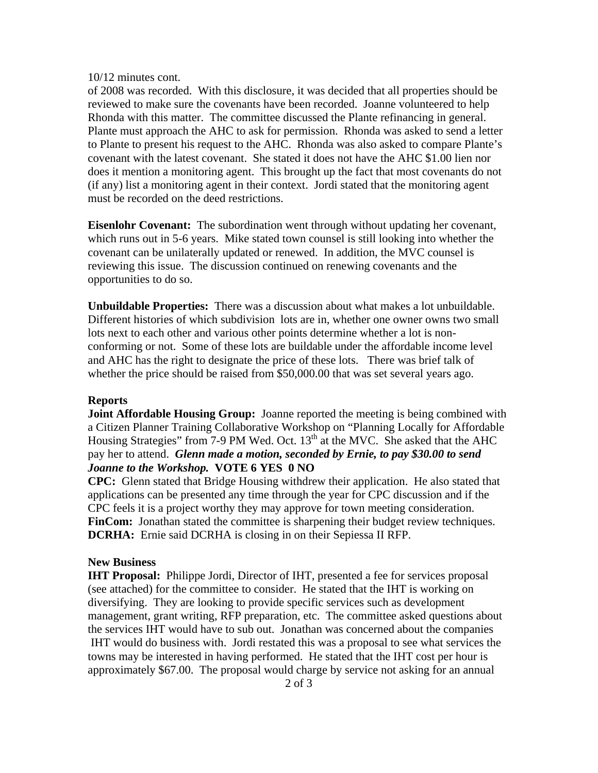#### 10/12 minutes cont.

of 2008 was recorded. With this disclosure, it was decided that all properties should be reviewed to make sure the covenants have been recorded. Joanne volunteered to help Rhonda with this matter. The committee discussed the Plante refinancing in general. Plante must approach the AHC to ask for permission. Rhonda was asked to send a letter to Plante to present his request to the AHC. Rhonda was also asked to compare Plante's covenant with the latest covenant. She stated it does not have the AHC \$1.00 lien nor does it mention a monitoring agent. This brought up the fact that most covenants do not (if any) list a monitoring agent in their context. Jordi stated that the monitoring agent must be recorded on the deed restrictions.

**Eisenlohr Covenant:** The subordination went through without updating her covenant, which runs out in 5-6 years. Mike stated town counsel is still looking into whether the covenant can be unilaterally updated or renewed. In addition, the MVC counsel is reviewing this issue. The discussion continued on renewing covenants and the opportunities to do so.

**Unbuildable Properties:** There was a discussion about what makes a lot unbuildable. Different histories of which subdivision lots are in, whether one owner owns two small lots next to each other and various other points determine whether a lot is nonconforming or not. Some of these lots are buildable under the affordable income level and AHC has the right to designate the price of these lots. There was brief talk of whether the price should be raised from \$50,000.00 that was set several years ago.

#### **Reports**

**Joint Affordable Housing Group:** Joanne reported the meeting is being combined with a Citizen Planner Training Collaborative Workshop on "Planning Locally for Affordable Housing Strategies" from  $7-9$  PM Wed. Oct.  $13<sup>th</sup>$  at the MVC. She asked that the AHC pay her to attend. *Glenn made a motion, seconded by Ernie, to pay \$30.00 to send Joanne to the Workshop.* **VOTE 6 YES 0 NO** 

**CPC:** Glenn stated that Bridge Housing withdrew their application. He also stated that applications can be presented any time through the year for CPC discussion and if the CPC feels it is a project worthy they may approve for town meeting consideration. FinCom: Jonathan stated the committee is sharpening their budget review techniques. **DCRHA:** Ernie said DCRHA is closing in on their Sepiessa II RFP.

#### **New Business**

**IHT Proposal:** Philippe Jordi, Director of IHT, presented a fee for services proposal (see attached) for the committee to consider. He stated that the IHT is working on diversifying. They are looking to provide specific services such as development management, grant writing, RFP preparation, etc. The committee asked questions about the services IHT would have to sub out. Jonathan was concerned about the companies IHT would do business with. Jordi restated this was a proposal to see what services the towns may be interested in having performed. He stated that the IHT cost per hour is approximately \$67.00. The proposal would charge by service not asking for an annual